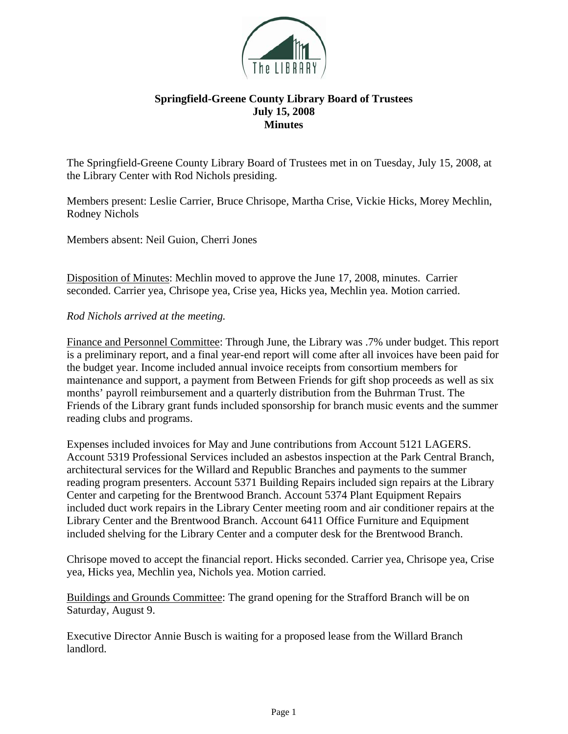

## **Springfield-Greene County Library Board of Trustees July 15, 2008 Minutes**

The Springfield-Greene County Library Board of Trustees met in on Tuesday, July 15, 2008, at the Library Center with Rod Nichols presiding.

Members present: Leslie Carrier, Bruce Chrisope, Martha Crise, Vickie Hicks, Morey Mechlin, Rodney Nichols

Members absent: Neil Guion, Cherri Jones

Disposition of Minutes: Mechlin moved to approve the June 17, 2008, minutes. Carrier seconded. Carrier yea, Chrisope yea, Crise yea, Hicks yea, Mechlin yea. Motion carried.

## *Rod Nichols arrived at the meeting.*

Finance and Personnel Committee: Through June, the Library was .7% under budget. This report is a preliminary report, and a final year-end report will come after all invoices have been paid for the budget year. Income included annual invoice receipts from consortium members for maintenance and support, a payment from Between Friends for gift shop proceeds as well as six months' payroll reimbursement and a quarterly distribution from the Buhrman Trust. The Friends of the Library grant funds included sponsorship for branch music events and the summer reading clubs and programs.

Expenses included invoices for May and June contributions from Account 5121 LAGERS. Account 5319 Professional Services included an asbestos inspection at the Park Central Branch, architectural services for the Willard and Republic Branches and payments to the summer reading program presenters. Account 5371 Building Repairs included sign repairs at the Library Center and carpeting for the Brentwood Branch. Account 5374 Plant Equipment Repairs included duct work repairs in the Library Center meeting room and air conditioner repairs at the Library Center and the Brentwood Branch. Account 6411 Office Furniture and Equipment included shelving for the Library Center and a computer desk for the Brentwood Branch.

Chrisope moved to accept the financial report. Hicks seconded. Carrier yea, Chrisope yea, Crise yea, Hicks yea, Mechlin yea, Nichols yea. Motion carried.

Buildings and Grounds Committee: The grand opening for the Strafford Branch will be on Saturday, August 9.

Executive Director Annie Busch is waiting for a proposed lease from the Willard Branch landlord.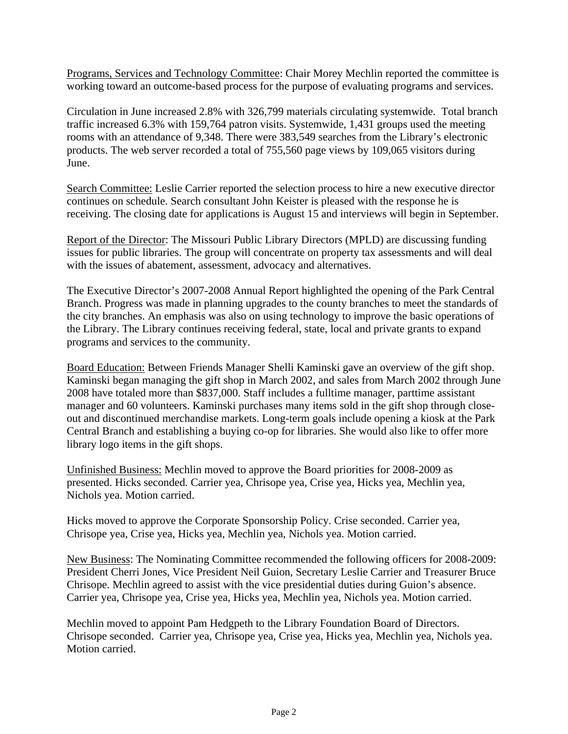Programs, Services and Technology Committee: Chair Morey Mechlin reported the committee is working toward an outcome-based process for the purpose of evaluating programs and services.

Circulation in June increased 2.8% with 326,799 materials circulating systemwide. Total branch traffic increased 6.3% with 159,764 patron visits. Systemwide, 1,431 groups used the meeting rooms with an attendance of 9,348. There were 383,549 searches from the Library's electronic products. The web server recorded a total of 755,560 page views by 109,065 visitors during June.

Search Committee: Leslie Carrier reported the selection process to hire a new executive director continues on schedule. Search consultant John Keister is pleased with the response he is receiving. The closing date for applications is August 15 and interviews will begin in September.

Report of the Director: The Missouri Public Library Directors (MPLD) are discussing funding issues for public libraries. The group will concentrate on property tax assessments and will deal with the issues of abatement, assessment, advocacy and alternatives.

The Executive Director's 2007-2008 Annual Report highlighted the opening of the Park Central Branch. Progress was made in planning upgrades to the county branches to meet the standards of the city branches. An emphasis was also on using technology to improve the basic operations of the Library. The Library continues receiving federal, state, local and private grants to expand programs and services to the community.

Board Education: Between Friends Manager Shelli Kaminski gave an overview of the gift shop. Kaminski began managing the gift shop in March 2002, and sales from March 2002 through June 2008 have totaled more than \$837,000. Staff includes a fulltime manager, parttime assistant manager and 60 volunteers. Kaminski purchases many items sold in the gift shop through closeout and discontinued merchandise markets. Long-term goals include opening a kiosk at the Park Central Branch and establishing a buying co-op for libraries. She would also like to offer more library logo items in the gift shops.

Unfinished Business: Mechlin moved to approve the Board priorities for 2008-2009 as presented. Hicks seconded. Carrier yea, Chrisope yea, Crise yea, Hicks yea, Mechlin yea, Nichols yea. Motion carried.

Hicks moved to approve the Corporate Sponsorship Policy. Crise seconded. Carrier yea, Chrisope yea, Crise yea, Hicks yea, Mechlin yea, Nichols yea. Motion carried.

New Business: The Nominating Committee recommended the following officers for 2008-2009: President Cherri Jones, Vice President Neil Guion, Secretary Leslie Carrier and Treasurer Bruce Chrisope. Mechlin agreed to assist with the vice presidential duties during Guion's absence. Carrier yea, Chrisope yea, Crise yea, Hicks yea, Mechlin yea, Nichols yea. Motion carried.

Mechlin moved to appoint Pam Hedgpeth to the Library Foundation Board of Directors. Chrisope seconded. Carrier yea, Chrisope yea, Crise yea, Hicks yea, Mechlin yea, Nichols yea. Motion carried.